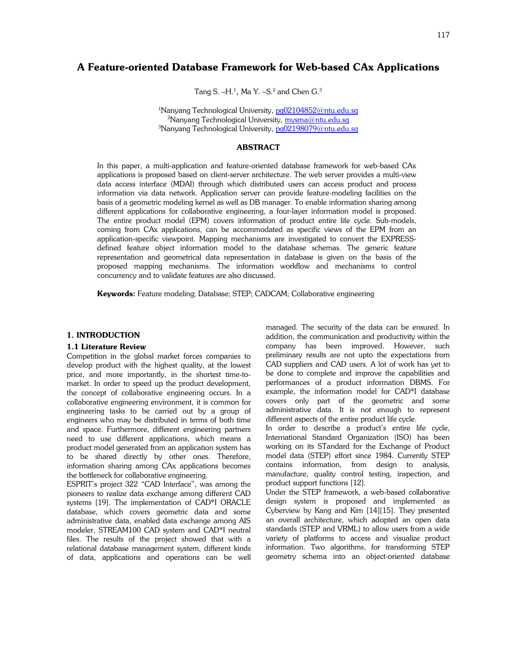# A Feature-oriented Database Framework for Web-based CAx Applications

Tang S.  $-H.^1$ , Ma Y.  $-S.^2$  and Chen G.<sup>3</sup>

<sup>1</sup>Nanyang Technological University, pg02104852@ntu.edu.sg <sup>2</sup>Nanyang Technological University, mysma@ntu.edu.sg <sup>3</sup>Nanyang Technological University, <u>pg02198079@ntu</u>.edu.sg

## ABSTRACT

In this paper, a multi-application and feature-oriented database framework for web-based CAx applications is proposed based on client-server architecture. The web server provides a multi-view data access interface (MDAI) through which distributed users can access product and process information via data network. Application server can provide feature-modeling facilities on the basis of a geometric modeling kernel as well as DB manager. To enable information sharing among different applications for collaborative engineering, a four-layer information model is proposed. The entire product model (EPM) covers information of product entire life cycle. Sub-models, coming from CAx applications, can be accommodated as specific views of the EPM from an application-specific viewpoint. Mapping mechanisms are investigated to convert the EXPRESSdefined feature object information model to the database schemas. The generic feature representation and geometrical data representation in database is given on the basis of the proposed mapping mechanisms. The information workflow and mechanisms to control concurrency and to validate features are also discussed.

Keywords: Feature modeling; Database; STEP; CADCAM; Collaborative engineering

## 1. INTRODUCTION

### 1.1 Literature Review

Competition in the global market forces companies to develop product with the highest quality, at the lowest price, and more importantly, in the shortest time-tomarket. In order to speed up the product development, the concept of collaborative engineering occurs. In a collaborative engineering environment, it is common for engineering tasks to be carried out by a group of engineers who may be distributed in terms of both time and space. Furthermore, different engineering partners need to use different applications, which means a product model generated from an application system has to be shared directly by other ones. Therefore, information sharing among CAx applications becomes the bottleneck for collaborative engineering.

ESPRIT's project 322 "CAD Interface", was among the pioneers to realize data exchange among different CAD systems [19]. The implementation of CAD\*I ORACLE database, which covers geometric data and some administrative data, enabled data exchange among AIS modeler, STREAM100 CAD system and CAD\*I neutral files. The results of the project showed that with a relational database management system, different kinds of data, applications and operations can be well managed. The security of the data can be ensured. In addition, the communication and productivity within the company has been improved. However, such preliminary results are not upto the expectations from CAD suppliers and CAD users. A lot of work has yet to be done to complete and improve the capabilities and performances of a product information DBMS. For example, the information model for CAD\*I database covers only part of the geometric and some administrative data. It is not enough to represent different aspects of the entire product life cycle.

In order to describe a product's entire life cycle, International Standard Organization (ISO) has been working on its STandard for the Exchange of Product model data (STEP) effort since 1984. Currently STEP contains information, from design to analysis, manufacture, quality control testing, inspection, and product support functions [12].

Under the STEP framework, a web-based collaborative design system is proposed and implemented as Cyberview by Kang and Kim [14][15]. They presented an overall architecture, which adopted an open data standards (STEP and VRML) to allow users from a wide variety of platforms to access and visualize product information. Two algorithms, for transforming STEP geometry schema into an object-oriented database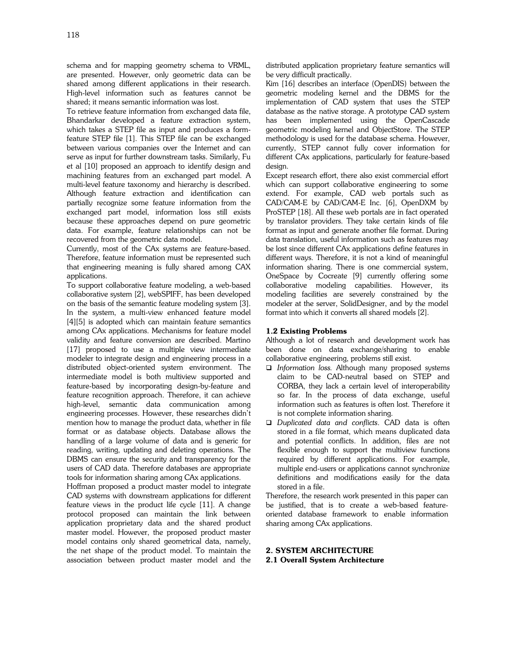schema and for mapping geometry schema to VRML, are presented. However, only geometric data can be shared among different applications in their research. High-level information such as features cannot be shared; it means semantic information was lost.

To retrieve feature information from exchanged data file, Bhandarkar developed a feature extraction system, which takes a STEP file as input and produces a formfeature STEP file [1]. This STEP file can be exchanged between various companies over the Internet and can serve as input for further downstream tasks. Similarly, Fu et al [10] proposed an approach to identify design and machining features from an exchanged part model. A multi-level feature taxonomy and hierarchy is described. Although feature extraction and identification can partially recognize some feature information from the exchanged part model, information loss still exists because these approaches depend on pure geometric data. For example, feature relationships can not be recovered from the geometric data model.

Currently, most of the CAx systems are feature-based. Therefore, feature information must be represented such that engineering meaning is fully shared among CAX applications.

To support collaborative feature modeling, a web-based collaborative system [2], webSPIFF, has been developed on the basis of the semantic feature modeling system [3]. In the system, a multi-view enhanced feature model [4][5] is adopted which can maintain feature semantics among CAx applications. Mechanisms for feature model validity and feature conversion are described. Martino [17] proposed to use a multiple view intermediate modeler to integrate design and engineering process in a distributed object-oriented system environment. The intermediate model is both multiview supported and feature-based by incorporating design-by-feature and feature recognition approach. Therefore, it can achieve high-level, semantic data communication among engineering processes. However, these researches didn't mention how to manage the product data, whether in file format or as database objects. Database allows the handling of a large volume of data and is generic for reading, writing, updating and deleting operations. The DBMS can ensure the security and transparency for the users of CAD data. Therefore databases are appropriate tools for information sharing among CAx applications.

Hoffman proposed a product master model to integrate CAD systems with downstream applications for different feature views in the product life cycle [11]. A change protocol proposed can maintain the link between application proprietary data and the shared product master model. However, the proposed product master model contains only shared geometrical data, namely, the net shape of the product model. To maintain the association between product master model and the

distributed application proprietary feature semantics will be very difficult practically.

Kim [16] describes an interface (OpenDIS) between the geometric modeling kernel and the DBMS for the implementation of CAD system that uses the STEP database as the native storage. A prototype CAD system has been implemented using the OpenCascade geometric modeling kernel and ObjectStore. The STEP methodology is used for the database schema. However, currently, STEP cannot fully cover information for different CAx applications, particularly for feature-based design.

Except research effort, there also exist commercial effort which can support collaborative engineering to some extend. For example, CAD web portals such as CAD/CAM-E by CAD/CAM-E Inc. [6], OpenDXM by ProSTEP [18]. All these web portals are in fact operated by translator providers. They take certain kinds of file format as input and generate another file format. During data translation, useful information such as features may be lost since different CAx applications define features in different ways. Therefore, it is not a kind of meaningful information sharing. There is one commercial system, OneSpace by Cocreate [9] currently offering some collaborative modeling capabilities. However, its modeling facilities are severely constrained by the modeler at the server, SolidDesigner, and by the model format into which it converts all shared models [2].

## 1.2 Existing Problems

Although a lot of research and development work has been done on data exchange/sharing to enable collaborative engineering, problems still exist.

- $\Box$  Information loss. Although many proposed systems claim to be CAD-neutral based on STEP and CORBA, they lack a certain level of interoperability so far. In the process of data exchange, useful information such as features is often lost. Therefore it is not complete information sharing.
- Duplicated data and conflicts. CAD data is often stored in a file format, which means duplicated data and potential conflicts. In addition, files are not flexible enough to support the multiview functions required by different applications. For example, multiple end-users or applications cannot synchronize definitions and modifications easily for the data stored in a file.

Therefore, the research work presented in this paper can be justified, that is to create a web-based featureoriented database framework to enable information sharing among CAx applications.

## 2. SYSTEM ARCHITECTURE 2.1 Overall System Architecture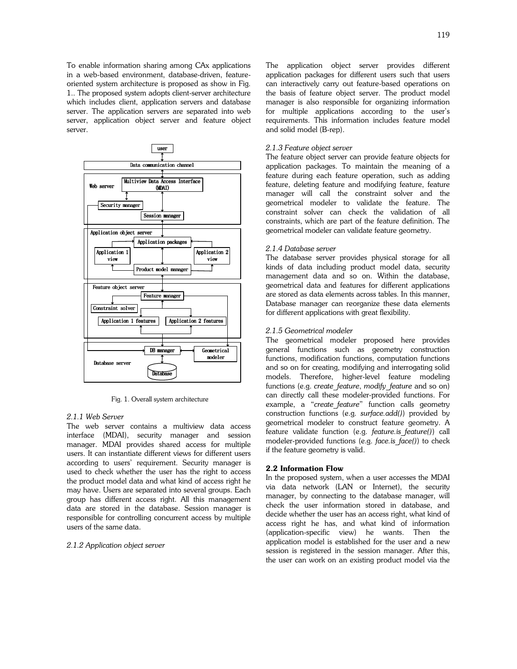To enable information sharing among CAx applications in a web-based environment, database-driven, featureoriented system architecture is proposed as show in Fig. 1.. The proposed system adopts client-server architecture which includes client, application servers and database server. The application servers are separated into web server, application object server and feature object server.



Fig. 1. Overall system architecture

## 2.1.1 Web Server

The web server contains a multiview data access interface (MDAI), security manager and session manager. MDAI provides shared access for multiple users. It can instantiate different views for different users according to users' requirement. Security manager is used to check whether the user has the right to access the product model data and what kind of access right he may have. Users are separated into several groups. Each group has different access right. All this management data are stored in the database. Session manager is responsible for controlling concurrent access by multiple users of the same data.

### 2.1.2 Application object server

The application object server provides different application packages for different users such that users can interactively carry out feature-based operations on the basis of feature object server. The product model manager is also responsible for organizing information for multiple applications according to the user's requirements. This information includes feature model and solid model (B-rep).

### 2.1.3 Feature object server

The feature object server can provide feature objects for application packages. To maintain the meaning of a feature during each feature operation, such as adding feature, deleting feature and modifying feature, feature manager will call the constraint solver and the geometrical modeler to validate the feature. The constraint solver can check the validation of all constraints, which are part of the feature definition. The geometrical modeler can validate feature geometry.

#### 2.1.4 Database server

The database server provides physical storage for all kinds of data including product model data, security management data and so on. Within the database, geometrical data and features for different applications are stored as data elements across tables. In this manner, Database manager can reorganize these data elements for different applications with great flexibility.

## 2.1.5 Geometrical modeler

The geometrical modeler proposed here provides general functions such as geometry construction functions, modification functions, computation functions and so on for creating, modifying and interrogating solid models. Therefore, higher-level feature modeling functions (e.g. create feature, modify feature and so on) can directly call these modeler-provided functions. For example, a "create feature" function calls geometry construction functions (e.g. surface.add()) provided by geometrical modeler to construct feature geometry. A feature validate function (e.g. feature.is feature()) call modeler-provided functions (e.g. face.is\_face()) to check if the feature geometry is valid.

## 2.2 Information Flow

In the proposed system, when a user accesses the MDAI via data network (LAN or Internet), the security manager, by connecting to the database manager, will check the user information stored in database, and decide whether the user has an access right, what kind of access right he has, and what kind of information (application-specific view) he wants. Then the application model is established for the user and a new session is registered in the session manager. After this, the user can work on an existing product model via the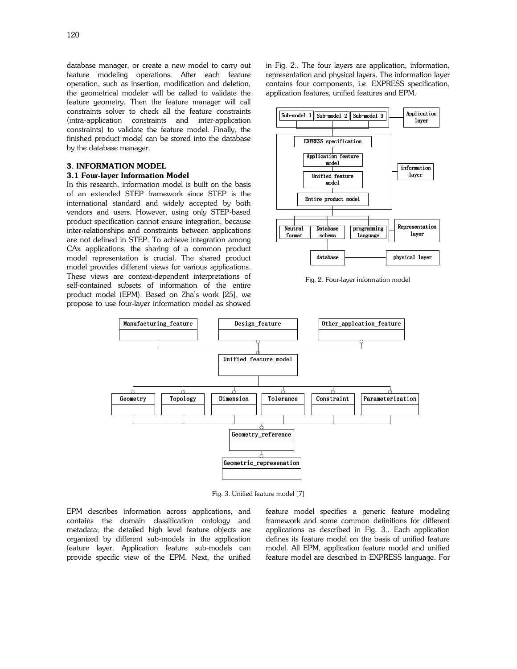database manager, or create a new model to carry out feature modeling operations. After each feature operation, such as insertion, modification and deletion, the geometrical modeler will be called to validate the feature geometry. Then the feature manager will call constraints solver to check all the feature constraints (intra-application constraints and inter-application constraints) to validate the feature model. Finally, the finished product model can be stored into the database by the database manager.

## 3. INFORMATION MODEL

## 3.1 Four-layer Information Model

In this research, information model is built on the basis of an extended STEP framework since STEP is the international standard and widely accepted by both vendors and users. However, using only STEP-based product specification cannot ensure integration, because inter-relationships and constraints between applications are not defined in STEP. To achieve integration among CAx applications, the sharing of a common product model representation is crucial. The shared product model provides different views for various applications. These views are context-dependent interpretations of self-contained subsets of information of the entire product model (EPM). Based on Zha's work [25], we propose to use four-layer information model as showed in Fig. 2.. The four layers are application, information, representation and physical layers. The information layer contains four components, i.e. EXPRESS specification, application features, unified features and EPM.



Fig. 2. Four-layer information model



Fig. 3. Unified feature model [7]

EPM describes information across applications, and contains the domain classification ontology and metadata; the detailed high level feature objects are organized by different sub-models in the application feature layer. Application feature sub-models can provide specific view of the EPM. Next, the unified feature model specifies a generic feature modeling framework and some common definitions for different applications as described in Fig. 3.. Each application defines its feature model on the basis of unified feature model. All EPM, application feature model and unified feature model are described in EXPRESS language. For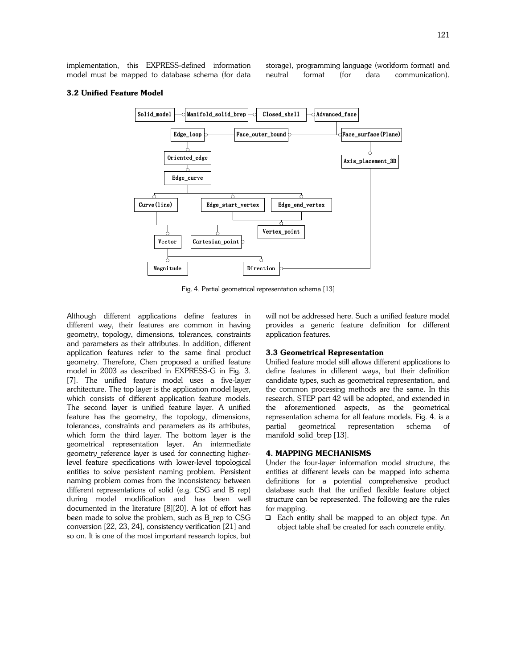implementation, this EXPRESS-defined information model must be mapped to database schema (for data storage), programming language (workform format) and neutral format (for data communication).

## 3.2 Unified Feature Model



Fig. 4. Partial geometrical representation schema [13]

Although different applications define features in different way, their features are common in having geometry, topology, dimensions, tolerances, constraints and parameters as their attributes. In addition, different application features refer to the same final product geometry. Therefore, Chen proposed a unified feature model in 2003 as described in EXPRESS-G in Fig. 3. [7]. The unified feature model uses a five-layer architecture. The top layer is the application model layer, which consists of different application feature models. The second layer is unified feature layer. A unified feature has the geometry, the topology, dimensions, tolerances, constraints and parameters as its attributes, which form the third layer. The bottom layer is the geometrical representation layer. An intermediate geometry reference layer is used for connecting higherlevel feature specifications with lower-level topological entities to solve persistent naming problem. Persistent naming problem comes from the inconsistency between different representations of solid (e.g. CSG and B\_rep) during model modification and has been well documented in the literature [8][20]. A lot of effort has been made to solve the problem, such as B\_rep to CSG conversion [22, 23, 24], consistency verification [21] and so on. It is one of the most important research topics, but will not be addressed here. Such a unified feature model provides a generic feature definition for different application features.

## 3.3 Geometrical Representation

Unified feature model still allows different applications to define features in different ways, but their definition candidate types, such as geometrical representation, and the common processing methods are the same. In this research, STEP part 42 will be adopted, and extended in the aforementioned aspects, as the geometrical representation schema for all feature models. Fig. 4. is a partial geometrical representation schema of manifold solid brep [13].

### 4. MAPPING MECHANISMS

Under the four-layer information model structure, the entities at different levels can be mapped into schema definitions for a potential comprehensive product database such that the unified flexible feature object structure can be represented. The following are the rules for mapping.

 $\Box$  Each entity shall be mapped to an object type. An object table shall be created for each concrete entity.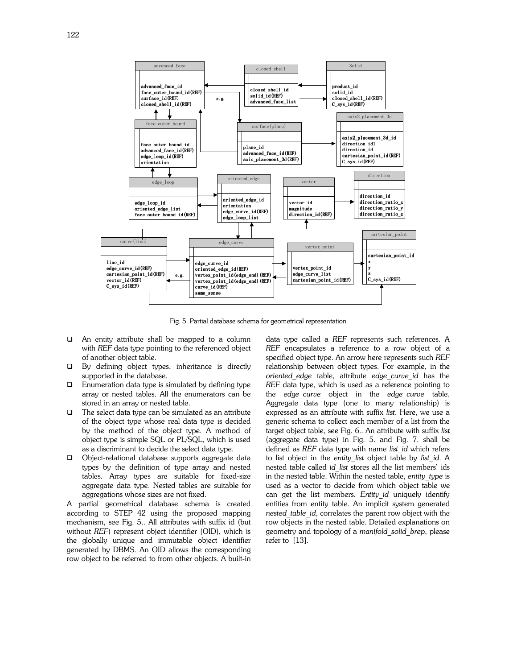

Fig. 5. Partial database schema for geometrical representation

- $\Box$  An entity attribute shall be mapped to a column with REF data type pointing to the referenced object of another object table.
- By defining object types, inheritance is directly supported in the database.
- $\square$  Enumeration data type is simulated by defining type array or nested tables. All the enumerators can be stored in an array or nested table.
- $\Box$  The select data type can be simulated as an attribute of the object type whose real data type is decided by the method of the object type. A method of object type is simple SQL or PL/SQL, which is used as a discriminant to decide the select data type.
- Object-relational database supports aggregate data types by the definition of type array and nested tables. Array types are suitable for fixed-size aggregate data type. Nested tables are suitable for aggregations whose sizes are not fixed.

A partial geometrical database schema is created according to STEP 42 using the proposed mapping mechanism, see Fig. 5.. All attributes with suffix id (but without REF) represent object identifier (OID), which is the globally unique and immutable object identifier generated by DBMS. An OID allows the corresponding row object to be referred to from other objects. A built-in

data type called a REF represents such references. A REF encapsulates a reference to a row object of a specified object type. An arrow here represents such REF relationship between object types. For example, in the oriented edge table, attribute edge curve id has the REF data type, which is used as a reference pointing to the edge curve object in the edge-curve table. Aggregate data type (one to many relationship) is expressed as an attribute with suffix list. Here, we use a generic schema to collect each member of a list from the target object table, see Fig. 6.. An attribute with suffix list (aggregate data type) in Fig. 5. and Fig. 7. shall be defined as REF data type with name list id which refers to list object in the entity list object table by list id. A nested table called id list stores all the list members' ids in the nested table. Within the nested table, entity type is used as a vector to decide from which object table we can get the list members. Entity id uniquely identify entities from entity table. An implicit system generated nested table id, correlates the parent row object with the row objects in the nested table. Detailed explanations on geometry and topology of a manifold solid brep, please refer to [13].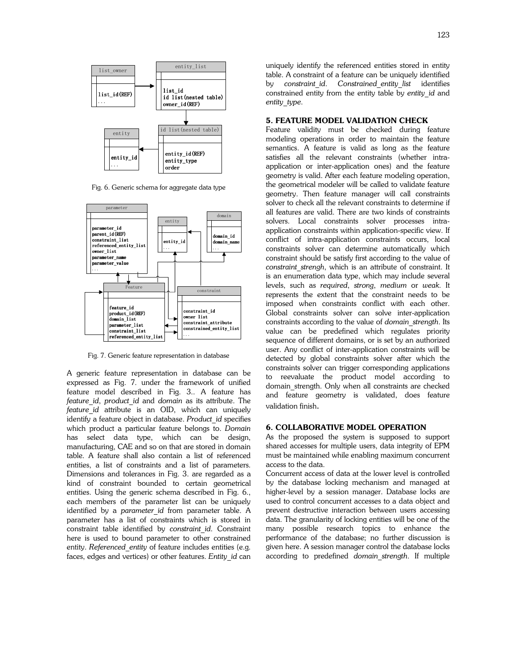

Fig. 6. Generic schema for aggregate data type



Fig. 7. Generic feature representation in database

A generic feature representation in database can be expressed as Fig. 7. under the framework of unified feature model described in Fig. 3.. A feature has feature id, product id and domain as its attribute. The feature id attribute is an OID, which can uniquely identify a feature object in database. Product id specifies which product a particular feature belongs to. Domain has select data type, which can be design, manufacturing, CAE and so on that are stored in domain table. A feature shall also contain a list of referenced entities, a list of constraints and a list of parameters. Dimensions and tolerances in Fig. 3. are regarded as a kind of constraint bounded to certain geometrical entities. Using the generic schema described in Fig. 6., each members of the parameter list can be uniquely identified by a parameter id from parameter table. A parameter has a list of constraints which is stored in constraint table identified by constraint id. Constraint here is used to bound parameter to other constrained entity. Referenced entity of feature includes entities (e.g. faces, edges and vertices) or other features. Entity id can uniquely identify the referenced entities stored in entity table. A constraint of a feature can be uniquely identified by constraint id. Constrained entity list identifies constrained entity from the entity table by entity id and entity type.

### 5. FEATURE MODEL VALIDATION CHECK

Feature validity must be checked during feature modeling operations in order to maintain the feature semantics. A feature is valid as long as the feature satisfies all the relevant constraints (whether intraapplication or inter-application ones) and the feature geometry is valid. After each feature modeling operation, the geometrical modeler will be called to validate feature geometry. Then feature manager will call constraints solver to check all the relevant constraints to determine if all features are valid. There are two kinds of constraints solvers. Local constraints solver processes intraapplication constraints within application-specific view. If conflict of intra-application constraints occurs, local constraints solver can determine automatically which constraint should be satisfy first according to the value of constraint strengh, which is an attribute of constraint. It is an enumeration data type, which may include several levels, such as required, strong, medium or weak. It represents the extent that the constraint needs to be imposed when constraints conflict with each other. Global constraints solver can solve inter-application constraints according to the value of domain strength. Its value can be predefined which regulates priority sequence of different domains, or is set by an authorized user. Any conflict of inter-application constraints will be detected by global constraints solver after which the constraints solver can trigger corresponding applications to reevaluate the product model according to domain\_strength. Only when all constraints are checked and feature geometry is validated, does feature validation finish.

## 6. COLLABORATIVE MODEL OPERATION

As the proposed the system is supposed to support shared accesses for multiple users, data integrity of EPM must be maintained while enabling maximum concurrent access to the data.

Concurrent access of data at the lower level is controlled by the database locking mechanism and managed at higher-level by a session manager. Database locks are used to control concurrent accesses to a data object and prevent destructive interaction between users accessing data. The granularity of locking entities will be one of the many possible research topics to enhance the performance of the database; no further discussion is given here. A session manager control the database locks according to predefined domain\_strength. If multiple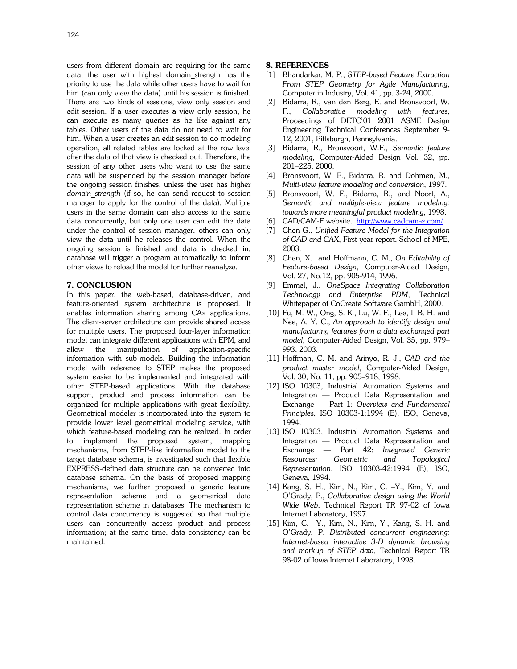users from different domain are requiring for the same data, the user with highest domain strength has the priority to use the data while other users have to wait for him (can only view the data) until his session is finished. There are two kinds of sessions, view only session and edit session. If a user executes a view only session, he can execute as many queries as he like against any tables. Other users of the data do not need to wait for him. When a user creates an edit session to do modeling operation, all related tables are locked at the row level after the data of that view is checked out. Therefore, the session of any other users who want to use the same data will be suspended by the session manager before the ongoing session finishes, unless the user has higher domain strength (if so, he can send request to session manager to apply for the control of the data). Multiple users in the same domain can also access to the same data concurrently, but only one user can edit the data under the control of session manager, others can only view the data until he releases the control. When the ongoing session is finished and data is checked in, database will trigger a program automatically to inform other views to reload the model for further reanalyze.

## 7. CONCLUSION

In this paper, the web-based, database-driven, and feature-oriented system architecture is proposed. It enables information sharing among CAx applications. The client-server architecture can provide shared access for multiple users. The proposed four-layer information model can integrate different applications with EPM, and allow the manipulation of application-specific information with sub-models. Building the information model with reference to STEP makes the proposed system easier to be implemented and integrated with other STEP-based applications. With the database support, product and process information can be organized for multiple applications with great flexibility. Geometrical modeler is incorporated into the system to provide lower level geometrical modeling service, with which feature-based modeling can be realized. In order to implement the proposed system, mapping mechanisms, from STEP-like information model to the target database schema, is investigated such that flexible EXPRESS-defined data structure can be converted into database schema. On the basis of proposed mapping mechanisms, we further proposed a generic feature representation scheme and a geometrical data representation scheme in databases. The mechanism to control data concurrency is suggested so that multiple users can concurrently access product and process information; at the same time, data consistency can be maintained.

## 8. REFERENCES

- [1] Bhandarkar, M. P., STEP-based Feature Extraction From STEP Geometry for Agile Manufacturing, Computer in Industry, Vol. 41, pp. 3-24, 2000.
- [2] Bidarra, R., van den Berg, E. and Bronsvoort, W. F., Collaborative modeling with features, Proceedings of DETC'01 2001 ASME Design Engineering Technical Conferences September 9- 12, 2001, Pittsburgh, Pennsylvania.
- [3] Bidarra, R., Bronsvoort, W.F., Semantic feature modeling, Computer-Aided Design Vol. 32, pp. 201–225, 2000.
- [4] Bronsvoort, W. F., Bidarra, R. and Dohmen, M., Multi-view feature modeling and conversion, 1997.
- [5] Bronsvoort, W. F., Bidarra, R., and Noort, A., Semantic and multiple-view feature modeling: towards more meaningful product modeling, 1998.
- [6] CAD/CAM-E website. http://www.cadcam-e.com/
- [7] Chen G., Unified Feature Model for the Integration of CAD and CAX, First-year report, School of MPE, 2003.
- [8] Chen, X. and Hoffmann, C. M., On Editability of Feature-based Design, Computer-Aided Design, Vol. 27, No.12, pp. 905-914, 1996.
- [9] Emmel, J., OneSpace Integrating Collaboration Technology and Enterprise PDM, Technical Whitepaper of CoCreate Software GambH, 2000.
- [10] Fu, M. W., Ong, S. K., Lu, W. F., Lee, I. B. H. and Nee, A. Y. C., An approach to identify design and manufacturing features from a data exchanged part model, Computer-Aided Design, Vol. 35, pp. 979– 993, 2003.
- [11] Hoffman, C. M. and Arinyo, R. J., CAD and the product master model, Computer-Aided Design, Vol. 30, No. 11, pp. 905–918, 1998.
- [12] ISO 10303, Industrial Automation Systems and Integration — Product Data Representation and Exchange — Part 1: Overview and Fundamental Principles, ISO 10303-1:1994 (E), ISO, Geneva, 1994.
- [13] ISO 10303, Industrial Automation Systems and Integration — Product Data Representation and Exchange — Part 42: Integrated Generic Resources: Geometric and Topological Representation, ISO 10303-42:1994 (E), ISO, Geneva, 1994.
- [14] Kang, S. H., Kim, N., Kim, C. –Y., Kim, Y. and O'Grady, P., Collaborative design using the World Wide Web, Technical Report TR 97-02 of Iowa Internet Laboratory, 1997.
- [15] Kim, C. –Y., Kim, N., Kim, Y., Kang, S. H. and O'Grady, P. Distributed concurrent engineering: Internet-based interactive 3-D dynamic browsing and markup of STEP data, Technical Report TR 98-02 of Iowa Internet Laboratory, 1998.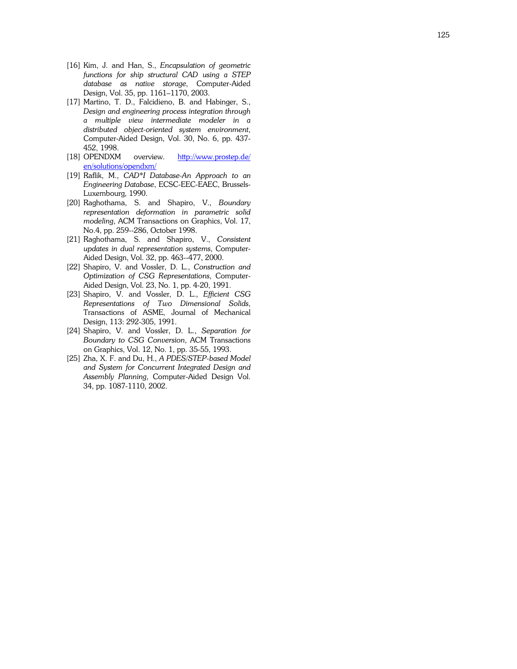- [16] Kim, J. and Han, S., Encapsulation of geometric functions for ship structural CAD using a STEP database as native storage, Computer-Aided Design, Vol. 35, pp. 1161–1170, 2003.
- [17] Martino, T. D., Falcidieno, B. and Habinger, S., Design and engineering process integration through a multiple view intermediate modeler in a distributed object-oriented system environment, Computer-Aided Design, Vol. 30, No. 6, pp. 437- 452, 1998.
- [18] OPENDXM overview. http://www.prostep.de/ en/solutions/opendxm/
- [19] Raflik, M., CAD\*I Database-An Approach to an Engineering Database, ECSC-EEC-EAEC, Brussels-Luxembourg, 1990.
- [20] Raghothama, S. and Shapiro, V., Boundary representation deformation in parametric solid modeling, ACM Transactions on Graphics, Vol. 17, No.4, pp. 259--286, October 1998.
- [21] Raghothama, S. and Shapiro, V., Consistent updates in dual representation systems, Computer-Aided Design, Vol. 32, pp. 463--477, 2000.
- [22] Shapiro, V. and Vossler, D. L., Construction and Optimization of CSG Representations, Computer-Aided Design, Vol. 23, No. 1, pp. 4-20, 1991.
- [23] Shapiro, V. and Vossler, D. L., Efficient CSG Representations of Two Dimensional Solids, Transactions of ASME, Journal of Mechanical Design, 113: 292-305, 1991.
- [24] Shapiro, V. and Vossler, D. L., Separation for Boundary to CSG Conversion, ACM Transactions on Graphics, Vol. 12, No. 1, pp. 35-55, 1993.
- [25] Zha, X. F. and Du, H., A PDES/STEP-based Model and System for Concurrent Integrated Design and Assembly Planning, Computer-Aided Design Vol. 34, pp. 1087-1110, 2002.